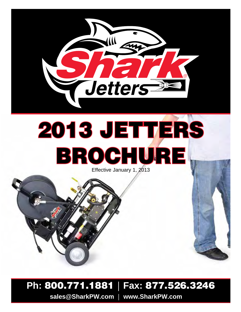

# 2013 JETTERS BROCHURE

Effective January 1, 2013

## **Ph:** 800.771.1881 | **Fax:** 877.526.3246

**sales@SharkPW.com** | **www.SharkPW.com**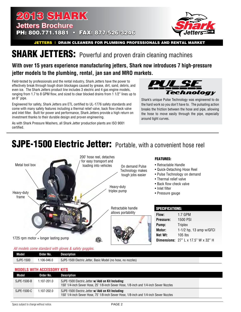### 2013 shark **Jetters Brochure** PH: 800.771.1881 • FAX: 877-526-3246



**JETTERS | DRAIN CLEANERS FOR PLUMBING PROFESSIONALS AND RENTAL MARKET** 

## **SHARK JETTERS:** Powerful and proven drain cleaning machines

#### **With over 15 years experience manufacturing jetters, Shark now introduces 7 high-pressure jetter models to the plumbing, rental, jan san and MRO markets.**

Field-tested by professionals and the rental industry, Shark Jetters have the power to effectively break through tough drain blockages caused by grease, dirt, sand, debris, and even ice. The Shark Jetters product line includes 3 electric and 4 gas engine models, ranging from 1.7 to 8 GPM flow, and sized to clear blocked drains from 1 1/2" lines up to an 8" pipe.

Engineered for safety, Shark Jetters are ETL certified to UL-1776 safety standards and come with many safety features including a thermal relief valve, back flow check valve and inlet filter. Built for power and performance, Shark Jetters provide a high return on investment thanks to their durable design and proven engineering.

As with Shark Pressure Washers, all Shark Jetter production plants are ISO 9001 certified.



Shark's unique Pulse Technology was engineered to do the hard work so you don't have to. The pulsating action breaks the friction between the hose and pipe, allowing the hose to move easily through the pipe, especially around tight curves.

## SJPE-1500 Electric Jetter: Portable, with a convenient hose reel



| Model     | Order No.  | <i>r </i> case.c com.c clamaan a m g.c . co cancey goggloc.<br>Description |
|-----------|------------|----------------------------------------------------------------------------|
| SJPE-1500 | .106-046.0 | SJPE-1500 Electric Jetter, Basic Model (no hose, no nozzles)               |

#### **Models with aCCESSORY kits**

| Model       | Order No.       | Description                                                                                                                                  |
|-------------|-----------------|----------------------------------------------------------------------------------------------------------------------------------------------|
| SJPE-1500-B | $1.107 - 201.0$ | SJPE-1500 Electric Jetter w/ Add on Kit Including:<br>150' 1/4-inch Sewer Hose, 25' 1/8-inch Sewer Hose, 1/8-inch and 1/4-inch Sewer Nozzles |
| SJPE-1500-C | 1.107-202.0     | SJPE-1500 Electric Jetter w/ Add on Kit Including:<br>150' 1/4-inch Sewer Hose, 75' 1/8-inch Sewer Hose, 1/8-inch and 1/4-inch Sewer Nozzles |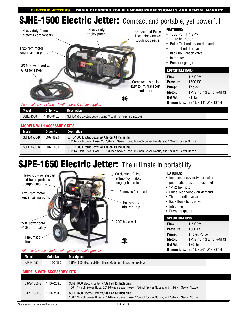ELECTRIC JETTERS | drain cleaners for plumbing professionals AND RENTAL MARKET

## **SJHE-1500 Electric Jetter:** Compact and portable, yet powerful



| Model        | Order No. | Description                                                                    |
|--------------|-----------|--------------------------------------------------------------------------------|
| 1500<br>Sjhe | 106-045.0 | 1500 Electric Jetter.<br>SJHE-1<br>. Basic Model (no<br>no nozzles)<br>ר hose. |

#### **Models with aCCESSORY kits**

| Model       | Order No.   | Description                                                                                                                                               |
|-------------|-------------|-----------------------------------------------------------------------------------------------------------------------------------------------------------|
| SJHE-1500-B | 1.107-199.0 | SJHE-1500 Electric Jetter w/ Add on Kit Including:<br>150' 1/4-inch Sewer Hose, 25' 1/8-inch Sewer Hose, 1/8-inch Sewer Nozzle, and 1/4-inch Sewer Nozzle |
| SJHE-1500-C | 1.107-200.0 | SJHE-1500 Electric Jetter w/ Add on Kit Including:<br>150' 1/4-inch Sewer Hose, 75' 1/8-inch Sewer Hose, 1/8-inch Sewer Nozzle, and 1/4-inch Sewer Nozzle |

## SJPE-1650 Electric Jetter: The ultimate in portability



#### *All models come standard with gloves & safety goggles.*

| Model<br>r. | Order No.      | Description                                                        |
|-------------|----------------|--------------------------------------------------------------------|
| SJPE-1650   | $.106 - 048.0$ | SJPE-1650 Electric Jetter,<br>Basic Model (no hose,<br>no nozzles) |

#### **Models with aCCESSORY kits**

| SJPE-1650-B | 1.107-203.0 | SJPE-1650 Electric Jetter w/ Add on Kit Including:<br>150' 1/4-inch Sewer Hose, 25' 1/8-inch Sewer Hose, 1/8-inch Sewer Nozzle, and 1/4-inch Sewer Nozzle |  |
|-------------|-------------|-----------------------------------------------------------------------------------------------------------------------------------------------------------|--|
| SJPE-1650-C | 1.107-204.0 | SJPE-1650 Electric Jetter w/ Add on Kit Including:<br>150' 1/4-inch Sewer Hose, 75' 1/8-inch Sewer Hose, 1/8-inch Sewer Nozzle, and 1/4-inch Sewer Nozzle |  |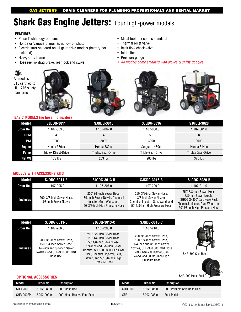## Shark Gas Engine Jetters: Four high-power models

#### FEATURES:

- Pulse Technology on demand
- Honda or Vanguard engines w/ low oil shutoff
- Electric start standard on all gear-drive models (battery not included)
- Heavy-duty frame
- Hose reel w/ drag brake, rear lock and swivel
- Metal tool box comes standard • Thermal relief valve
- Back flow check valve
- Inlet filter
- Pressure gauge
- *• All models come standard with gloves & safety goggles*.



#### **BASIC MODELS (no hose, no nozzles)**

| Model      | <b>SJDDG-3011</b>           | <b>SJGDG-3013</b>  | <b>SJGDG-3016</b>        | <b>SJGDG-3020</b>         |
|------------|-----------------------------|--------------------|--------------------------|---------------------------|
| Order No.  | 1.107-063.0                 | 1.107-067.0        | 1.107-060.0              | 1.107-061.0               |
| GPM        |                             | 4                  | 5.5                      | 8                         |
| <b>PSI</b> | 3000                        | 3000               | 3000                     | 3000                      |
| Engine     | Honda 389cc                 | Honda 389cc        | Vanguard 480cc           | Honda 614cc               |
| Pump       | <b>Triplex Direct-Drive</b> | Triplex Gear-Drive | <b>Triple Gear-Drive</b> | <b>Triplex Gear-Drive</b> |
| Net Wt     | $173$ lbs                   | 203 lbs            | 280 lbs                  | 375 lbs                   |

#### **Models with aCCESSORY kits**

| Model           | SJDDG-3011-B                                       | SJGDG-3013-B                                                                                                                | SJGDG-3016-B                                                                                                                | SJGDG-3020-B                                                                                                                                                |
|-----------------|----------------------------------------------------|-----------------------------------------------------------------------------------------------------------------------------|-----------------------------------------------------------------------------------------------------------------------------|-------------------------------------------------------------------------------------------------------------------------------------------------------------|
| Order No.       | 1.107-205.0                                        | 1.107-207.0                                                                                                                 | 1.107-209.0                                                                                                                 | 1.107-211.0                                                                                                                                                 |
| <b>Includes</b> | 200' 3/8-inch Sewer Hose,<br>3/8-inch Sewer Nozzle | 200' 3/8-inch Sewer Hose,<br>3/8-inch Sewer Nozzle, Chemical<br>Injector, Gun, Wand, and<br>50' 3/8-inch High Pressure Hose | 250' 3/8-inch Sewer Hose.<br>3/8-inch Sewer Nozzle.<br>Chemical Injector, Gun, Wand, and<br>50' 3/8-inch High Pressure Hose | 250' 3/8-inch Sewer Hose.<br>3/8-inch Sewer Nozzle.<br>SHR-300 300' Cart Hose Reel,<br>Chemical Injector, Gun, Wand, and<br>50' 3/8-inch High Pressure Hose |

| Model           | <b>SJDDG-3011-C</b>                                                                                                                  | <b>SJGDG-3013-C</b>                                                                                                                                                                                                                   | <b>SJGDG-3016-C</b>                                                                                                                                                                                       |
|-----------------|--------------------------------------------------------------------------------------------------------------------------------------|---------------------------------------------------------------------------------------------------------------------------------------------------------------------------------------------------------------------------------------|-----------------------------------------------------------------------------------------------------------------------------------------------------------------------------------------------------------|
| Order No.       | 1.107-206.0                                                                                                                          | 1.107-208.0                                                                                                                                                                                                                           | 1.107-210.0                                                                                                                                                                                               |
| <b>Includes</b> | 200' 3/8-inch Sewer Hose.<br>150' 1/4-inch Sewer Hose.<br>1/4-inch and 3/8-inch Sewer<br>Nozzles, and SHR-300 300' Cart<br>Hose Reel | 200' 3/8-inch Sewer Hose,<br>150' 1/4-inch Sewer Hose.<br>50' 1/8-inch Sewer Hose,<br>1/4-inch and 3/8-inch Sewer<br>Nozzles, SHR-300 300' Cart Hose<br>Reel, Chemical Injector, Gun,<br>Wand, and 50' 3/8-inch High<br>Pressure Hose | 250' 3/8-inch Sewer Hose.<br>150' 1/4-inch Sewer Hose.<br>1/4-inch and 3/8-inch Sewer<br>Nozzles, SHR-300 300' Cart Hose<br>Reel, Chemical Injector, Gun,<br>Wand, and 50' 3/8-inch High<br>Pressure Hose |



SHR-300 Cart Reel



#### **Optional accessorIES**

| Model     | Order No.   | <b>Description</b>           | Model          | Order No.   | Description                  |
|-----------|-------------|------------------------------|----------------|-------------|------------------------------|
| SHR-200HR | 8.902-989.0 | 200' Hose Reel               | <b>SHR-300</b> | 8.902-985.0 | 300' Portable Cart Hose Reel |
| SHR-200FP | 8.902-990.0 | 200' Hose Reel w/ Foot Pedal | <b>SFP</b>     | 8.902-986.0 | Foot Pedal                   |